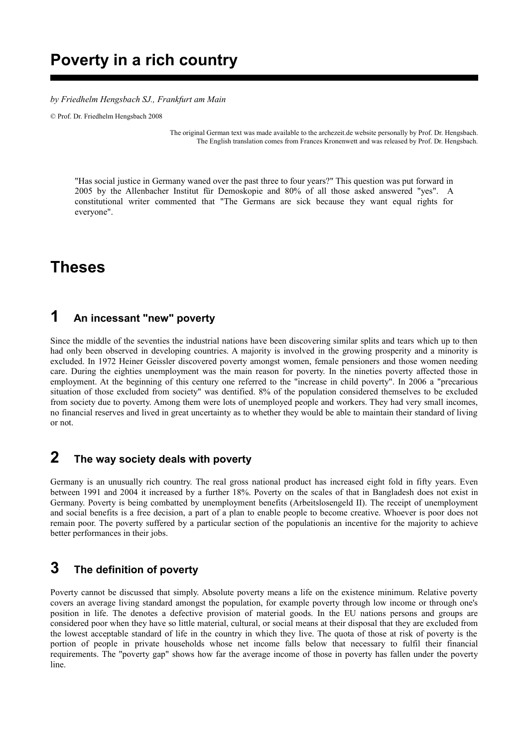## **Poverty in a rich country**

*by Friedhelm Hengsbach SJ., Frankfurt am Main*

© Prof. Dr. Friedhelm Hengsbach 2008

The original German text was made available to the archezeit.de website personally by Prof. Dr. Hengsbach. The English translation comes from Frances Kronenwett and was released by Prof. Dr. Hengsbach.

"Has social justice in Germany waned over the past three to four years?" This question was put forward in 2005 by the Allenbacher Institut für Demoskopie and 80% of all those asked answered "yes". A constitutional writer commented that "The Germans are sick because they want equal rights for everyone".

# **Theses**

#### **1 An incessant "new" poverty**

Since the middle of the seventies the industrial nations have been discovering similar splits and tears which up to then had only been observed in developing countries. A majority is involved in the growing prosperity and a minority is excluded. In 1972 Heiner Geissler discovered poverty amongst women, female pensioners and those women needing care. During the eighties unemployment was the main reason for poverty. In the nineties poverty affected those in employment. At the beginning of this century one referred to the "increase in child poverty". In 2006 a "precarious situation of those excluded from society" was dentified. 8% of the population considered themselves to be excluded from society due to poverty. Among them were lots of unemployed people and workers. They had very small incomes, no financial reserves and lived in great uncertainty as to whether they would be able to maintain their standard of living or not.

### **2 The way society deals with poverty**

Germany is an unusually rich country. The real gross national product has increased eight fold in fifty years. Even between 1991 and 2004 it increased by a further 18%. Poverty on the scales of that in Bangladesh does not exist in Germany. Poverty is being combatted by unemployment benefits (Arbeitslosengeld II). The receipt of unemployment and social benefits is a free decision, a part of a plan to enable people to become creative. Whoever is poor does not remain poor. The poverty suffered by a particular section of the populationis an incentive for the majority to achieve better performances in their jobs.

### **3 The definition of poverty**

Poverty cannot be discussed that simply. Absolute poverty means a life on the existence minimum. Relative poverty covers an average living standard amongst the population, for example poverty through low income or through one's position in life. The denotes a defective provision of material goods. In the EU nations persons and groups are considered poor when they have so little material, cultural, or social means at their disposal that they are excluded from the lowest acceptable standard of life in the country in which they live. The quota of those at risk of poverty is the portion of people in private households whose net income falls below that necessary to fulfil their financial requirements. The "poverty gap" shows how far the average income of those in poverty has fallen under the poverty line.